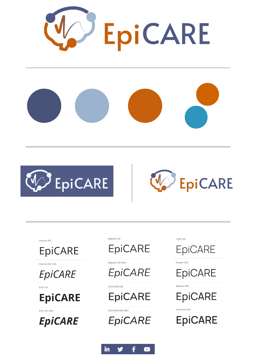



**EpiCARE** 

Regular 400

**EpiCARE** 

Regular 400 italic

**EpiCARE** 

Bold 700

**EpiCARE** 

Bold 700 italic

**EpiCARE** 

Regular 400



Regular 400 italic

Semi-bold 600



Semi-bold 600 italio

**EpiCARE** 

 $1$  ight 300



Regular 400

**EpiCARE** 

Medium 500

## **EpiCARE**

Semi-bold 600

**EpiCARE** 

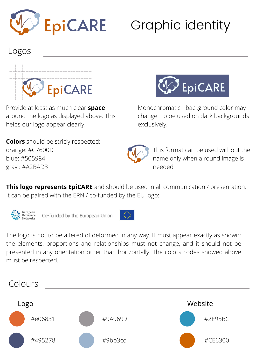

## Graphic identity

## Logos



Provide at least as much clear **space** around the logo as displayed above. This helps our logo appear clearly.

**Colors** should be stricly respected: orange: #C7600D blue: #505984 gray : #A2BAD3



Monochromatic - background color may change. To be used on dark backgrounds exclusively.



This format can be used without the name only when a round image is needed

**This logo represents EpiCARE** and should be used in all communication / presentation. It can be paired with the ERN / co-funded by the EU logo:



Co-funded by the European Union



The logo is not to be altered of deformed in any way. It must appear exactly as shown: the elements, proportions and relationships must not change, and it should not be presented in any orientation other than horizontally. The colors codes showed above must be respected.